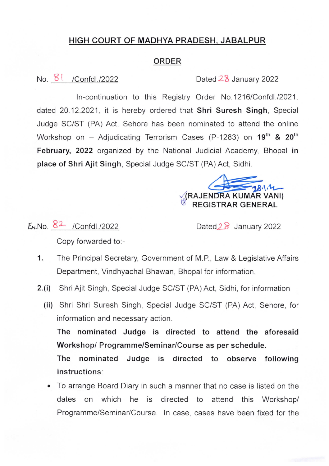## HIGH COURT OF MADHYA PRADESH, JABALPUR

## ORDER

## No. 8 | /Confdl./2022 Dated 28 January 2022

ln-continuation to this Registry Order No.1216/Confdl./2021, dated 20.12.2021, it is hereby ordered that Shri Suresh Singh, Special Judge SC/ST (PA) Act, Sehore has been nominated to attend the online Workshop on - Adjudicating Terrorism Cases (P-1283) on  $19^{th}$  &  $20^{th}$ February, 2022 organized by the National Judicial Academy, Bhopal in place of Shri Ajit Singh, Special Judge SC/ST (PA) Act, Sidhi.

A KUMAR VANl) REGISTRAR GENERAL

 $E_M$ .No.  $8^2$  /Confdl./2022 Dated $2^8$  January 2022

Copy forwarded to:-

- 1. The Principal Secretary, Government of M.P., Law & Legislative Affairs Department, Vindhyachal Bhawan, Bhopal for information.
- 2.(i) Shri Ajit Singh, Special Judge SC/ST (PA) Act, Sidhi, for information
	- (ii) Shri Shri Suresh Singh, Special Judge SC/ST (PA) Act, Sehore, for information and necessary action.

The nominated Judge is directed to attend the aforesaid Workshop/ Programme/Seminar/Course as per schedule.

The nominated Judge is directed to observe following instructions:

• To arrange Board Diary in such a manner that no case is listed on the dates on which he is directed to attend this Workshop/ Programme/Seminar/Course. In case, cases have been fixed for the